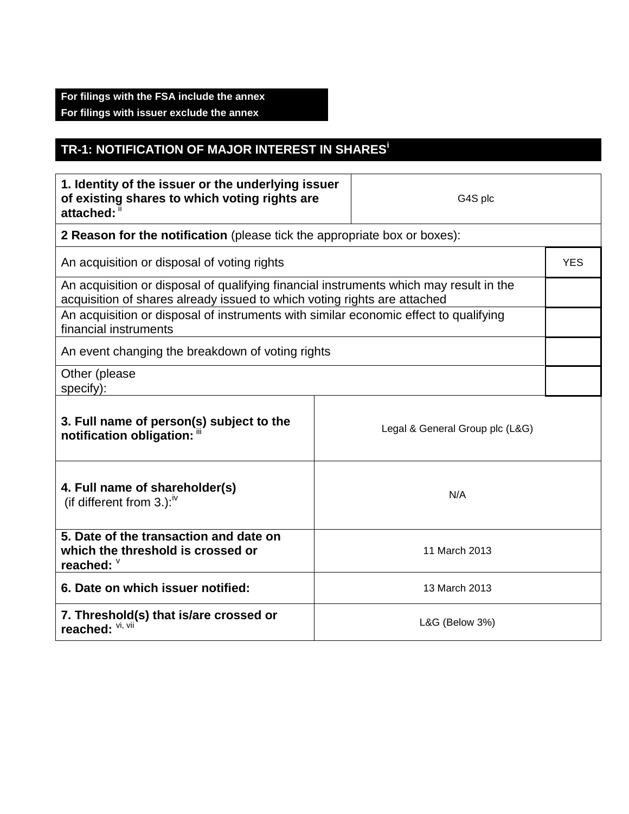## **For filings with the FSA include the annex For filings with issuer exclude the annex**

## **TR-1: NOTIFICATION OF MAJOR INTEREST IN SHARES<sup>i</sup>**

| 1. Identity of the issuer or the underlying issuer<br>of existing shares to which voting rights are<br>attached: ii                                                |                | G4S plc                         |            |
|--------------------------------------------------------------------------------------------------------------------------------------------------------------------|----------------|---------------------------------|------------|
| 2 Reason for the notification (please tick the appropriate box or boxes):                                                                                          |                |                                 |            |
| An acquisition or disposal of voting rights                                                                                                                        |                |                                 | <b>YES</b> |
| An acquisition or disposal of qualifying financial instruments which may result in the<br>acquisition of shares already issued to which voting rights are attached |                |                                 |            |
| An acquisition or disposal of instruments with similar economic effect to qualifying<br>financial instruments                                                      |                |                                 |            |
| An event changing the breakdown of voting rights                                                                                                                   |                |                                 |            |
| Other (please<br>specify):                                                                                                                                         |                |                                 |            |
| 3. Full name of person(s) subject to the<br>notification obligation: "                                                                                             |                | Legal & General Group plc (L&G) |            |
| 4. Full name of shareholder(s)<br>(if different from 3.): $W$                                                                                                      |                | N/A                             |            |
| 5. Date of the transaction and date on<br>which the threshold is crossed or<br>reached: V                                                                          | 11 March 2013  |                                 |            |
| 6. Date on which issuer notified:                                                                                                                                  | 13 March 2013  |                                 |            |
| 7. Threshold(s) that is/are crossed or<br>reached: VI, VII                                                                                                         | L&G (Below 3%) |                                 |            |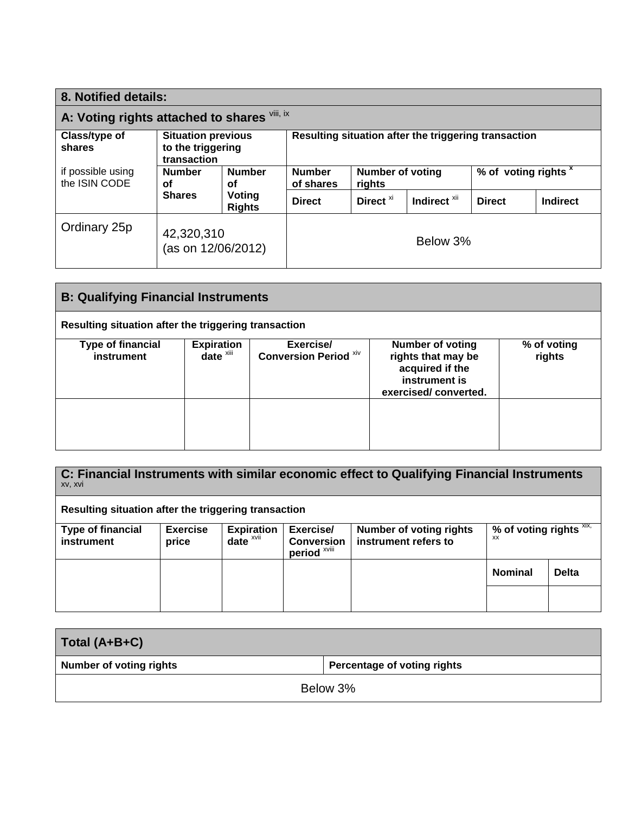| 8. Notified details:                         |                                                               |                         |                                                      |                            |                         |                                 |                 |
|----------------------------------------------|---------------------------------------------------------------|-------------------------|------------------------------------------------------|----------------------------|-------------------------|---------------------------------|-----------------|
| A: Voting rights attached to shares Vili, ix |                                                               |                         |                                                      |                            |                         |                                 |                 |
| Class/type of<br>shares                      | <b>Situation previous</b><br>to the triggering<br>transaction |                         | Resulting situation after the triggering transaction |                            |                         |                                 |                 |
| if possible using<br>the ISIN CODE           | <b>Number</b><br>οf                                           | <b>Number</b><br>οf     | <b>Number</b><br>of shares                           | Number of voting<br>rights |                         | % of voting rights <sup>x</sup> |                 |
|                                              | <b>Shares</b>                                                 | Voting<br><b>Rights</b> | <b>Direct</b>                                        | Direct <sup>xi</sup>       | Indirect <sup>xii</sup> | <b>Direct</b>                   | <b>Indirect</b> |
| Ordinary 25p                                 | 42,320,310<br>(as on 12/06/2012)                              |                         |                                                      |                            | Below 3%                |                                 |                 |

| <b>B: Qualifying Financial Instruments</b>           |                                                                 |                                           |                                                                                                           |                       |
|------------------------------------------------------|-----------------------------------------------------------------|-------------------------------------------|-----------------------------------------------------------------------------------------------------------|-----------------------|
| Resulting situation after the triggering transaction |                                                                 |                                           |                                                                                                           |                       |
| <b>Type of financial</b><br>instrument               | <b>Expiration</b><br>$\overline{\mathbf{date}}^{\mathsf{xiii}}$ | Exercise/<br><b>Conversion Period Xiv</b> | <b>Number of voting</b><br>rights that may be<br>acquired if the<br>instrument is<br>exercised/converted. | % of voting<br>rights |
|                                                      |                                                                 |                                           |                                                                                                           |                       |

| C: Financial Instruments with similar economic effect to Qualifying Financial Instruments<br>XV, XVI |                          |                               |                                                           |                                                        |                                  |              |
|------------------------------------------------------------------------------------------------------|--------------------------|-------------------------------|-----------------------------------------------------------|--------------------------------------------------------|----------------------------------|--------------|
| Resulting situation after the triggering transaction                                                 |                          |                               |                                                           |                                                        |                                  |              |
| <b>Type of financial</b><br><b>instrument</b>                                                        | <b>Exercise</b><br>price | <b>Expiration</b><br>$date^x$ | Exercise/<br><b>Conversion</b><br>period <sup>xviii</sup> | <b>Number of voting rights</b><br>instrument refers to | % of voting rights $XIX$ ,<br>ХX |              |
|                                                                                                      |                          |                               |                                                           |                                                        | <b>Nominal</b>                   | <b>Delta</b> |
|                                                                                                      |                          |                               |                                                           |                                                        |                                  |              |

| Total (A+B+C)                  |                                    |
|--------------------------------|------------------------------------|
| <b>Number of voting rights</b> | <b>Percentage of voting rights</b> |
| Below 3%                       |                                    |